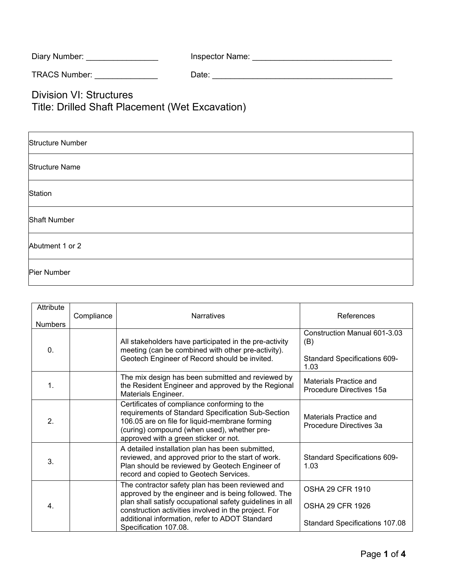| Diary Number: | Inspector Name: |
|---------------|-----------------|
|---------------|-----------------|

TRACS Number: \_\_\_\_\_\_\_\_\_\_\_\_\_\_ Date: \_\_\_\_\_\_\_\_\_\_\_\_\_\_\_\_\_\_\_\_\_\_\_\_\_\_\_\_\_\_\_\_\_\_\_\_\_\_\_\_

Division VI: Structures Title: Drilled Shaft Placement (Wet Excavation)

| <b>Structure Number</b> |
|-------------------------|
| <b>Structure Name</b>   |
| Station                 |
| <b>Shaft Number</b>     |
| Abutment 1 or 2         |
| Pier Number             |

| Attribute<br><b>Numbers</b> | Compliance | <b>Narratives</b>                                                                                                                                                                                                                            | References                                                                  |
|-----------------------------|------------|----------------------------------------------------------------------------------------------------------------------------------------------------------------------------------------------------------------------------------------------|-----------------------------------------------------------------------------|
| $\mathbf{0}$ .              |            | All stakeholders have participated in the pre-activity<br>meeting (can be combined with other pre-activity).<br>Geotech Engineer of Record should be invited.                                                                                | Construction Manual 601-3.03<br>(B)<br>Standard Specifications 609-<br>1.03 |
| 1.                          |            | The mix design has been submitted and reviewed by<br>the Resident Engineer and approved by the Regional<br>Materials Engineer.                                                                                                               | Materials Practice and<br>Procedure Directives 15a                          |
| $\overline{2}$ .            |            | Certificates of compliance conforming to the<br>requirements of Standard Specification Sub-Section<br>106.05 are on file for liquid-membrane forming<br>(curing) compound (when used), whether pre-<br>approved with a green sticker or not. | Materials Practice and<br>Procedure Directives 3a                           |
| 3.                          |            | A detailed installation plan has been submitted,<br>reviewed, and approved prior to the start of work.<br>Plan should be reviewed by Geotech Engineer of<br>record and copied to Geotech Services.                                           | <b>Standard Specifications 609-</b><br>1.03                                 |
| 4.                          |            | The contractor safety plan has been reviewed and<br>approved by the engineer and is being followed. The<br>plan shall satisfy occupational safety guidelines in all<br>construction activities involved in the project. For                  | <b>OSHA 29 CFR 1910</b><br><b>OSHA 29 CFR 1926</b>                          |
|                             |            | additional information, refer to ADOT Standard<br>Specification 107.08.                                                                                                                                                                      | <b>Standard Specifications 107.08</b>                                       |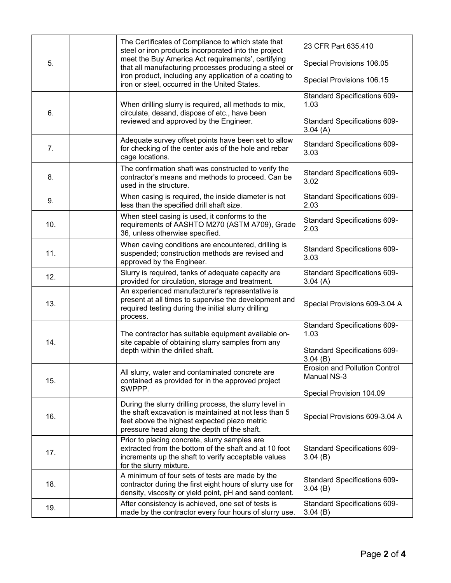|     |                                                                                                          | The Certificates of Compliance to which state that<br>steel or iron products incorporated into the project                                                                                                      | 23 CFR Part 635.410                                 |
|-----|----------------------------------------------------------------------------------------------------------|-----------------------------------------------------------------------------------------------------------------------------------------------------------------------------------------------------------------|-----------------------------------------------------|
| 5.  |                                                                                                          | meet the Buy America Act requirements', certifying<br>that all manufacturing processes producing a steel or                                                                                                     | Special Provisions 106.05                           |
|     | iron product, including any application of a coating to<br>iron or steel, occurred in the United States. | Special Provisions 106.15                                                                                                                                                                                       |                                                     |
|     |                                                                                                          | When drilling slurry is required, all methods to mix,                                                                                                                                                           | Standard Specifications 609-<br>1.03                |
| 6.  |                                                                                                          | circulate, desand, dispose of etc., have been<br>reviewed and approved by the Engineer.                                                                                                                         | <b>Standard Specifications 609-</b><br>3.04(A)      |
| 7.  |                                                                                                          | Adequate survey offset points have been set to allow<br>for checking of the center axis of the hole and rebar<br>cage locations.                                                                                | <b>Standard Specifications 609-</b><br>3.03         |
| 8.  |                                                                                                          | The confirmation shaft was constructed to verify the<br>contractor's means and methods to proceed. Can be<br>used in the structure.                                                                             | Standard Specifications 609-<br>3.02                |
| 9.  |                                                                                                          | When casing is required, the inside diameter is not<br>less than the specified drill shaft size.                                                                                                                | Standard Specifications 609-<br>2.03                |
| 10. |                                                                                                          | When steel casing is used, it conforms to the<br>requirements of AASHTO M270 (ASTM A709), Grade<br>36, unless otherwise specified.                                                                              | Standard Specifications 609-<br>2.03                |
| 11. |                                                                                                          | When caving conditions are encountered, drilling is<br>suspended; construction methods are revised and<br>approved by the Engineer.                                                                             | Standard Specifications 609-<br>3.03                |
| 12. |                                                                                                          | Slurry is required, tanks of adequate capacity are<br>provided for circulation, storage and treatment.                                                                                                          | Standard Specifications 609-<br>3.04(A)             |
| 13. |                                                                                                          | An experienced manufacturer's representative is<br>present at all times to supervise the development and<br>required testing during the initial slurry drilling<br>process.                                     | Special Provisions 609-3.04 A                       |
| 14. |                                                                                                          | The contractor has suitable equipment available on-<br>site capable of obtaining slurry samples from any                                                                                                        | Standard Specifications 609-<br>1.03                |
|     |                                                                                                          | depth within the drilled shaft.                                                                                                                                                                                 | Standard Specifications 609-<br>3.04(B)             |
| 15. |                                                                                                          | All slurry, water and contaminated concrete are<br>contained as provided for in the approved project                                                                                                            | <b>Erosion and Pollution Control</b><br>Manual NS-3 |
|     |                                                                                                          | SWPPP.                                                                                                                                                                                                          | Special Provision 104.09                            |
| 16. |                                                                                                          | During the slurry drilling process, the slurry level in<br>the shaft excavation is maintained at not less than 5<br>feet above the highest expected piezo metric<br>pressure head along the depth of the shaft. | Special Provisions 609-3.04 A                       |
| 17. |                                                                                                          | Prior to placing concrete, slurry samples are<br>extracted from the bottom of the shaft and at 10 foot<br>increments up the shaft to verify acceptable values<br>for the slurry mixture.                        | <b>Standard Specifications 609-</b><br>3.04(B)      |
| 18. |                                                                                                          | A minimum of four sets of tests are made by the<br>contractor during the first eight hours of slurry use for<br>density, viscosity or yield point, pH and sand content.                                         | Standard Specifications 609-<br>3.04(B)             |
| 19. |                                                                                                          | After consistency is achieved, one set of tests is<br>made by the contractor every four hours of slurry use.                                                                                                    | Standard Specifications 609-<br>3.04(B)             |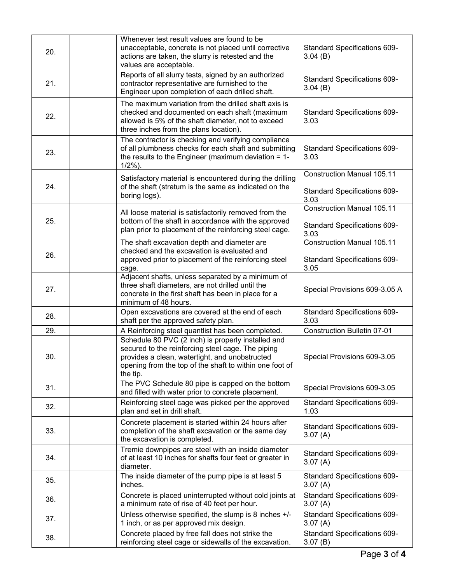| 20. | Whenever test result values are found to be<br>unacceptable, concrete is not placed until corrective<br>actions are taken, the slurry is retested and the<br>values are acceptable.                                              | Standard Specifications 609-<br>3.04(B)                                          |
|-----|----------------------------------------------------------------------------------------------------------------------------------------------------------------------------------------------------------------------------------|----------------------------------------------------------------------------------|
| 21. | Reports of all slurry tests, signed by an authorized<br>contractor representative are furnished to the<br>Engineer upon completion of each drilled shaft.                                                                        | <b>Standard Specifications 609-</b><br>3.04(B)                                   |
| 22. | The maximum variation from the drilled shaft axis is<br>checked and documented on each shaft (maximum<br>allowed is 5% of the shaft diameter, not to exceed<br>three inches from the plans location).                            | Standard Specifications 609-<br>3.03                                             |
| 23. | The contractor is checking and verifying compliance<br>of all plumbness checks for each shaft and submitting<br>the results to the Engineer (maximum deviation $= 1$ -<br>$1/2%$ ).                                              | Standard Specifications 609-<br>3.03                                             |
| 24. | Satisfactory material is encountered during the drilling<br>of the shaft (stratum is the same as indicated on the<br>boring logs).                                                                                               | <b>Construction Manual 105.11</b><br><b>Standard Specifications 609-</b><br>3.03 |
|     | All loose material is satisfactorily removed from the                                                                                                                                                                            | <b>Construction Manual 105.11</b>                                                |
| 25. | bottom of the shaft in accordance with the approved<br>plan prior to placement of the reinforcing steel cage.                                                                                                                    | Standard Specifications 609-<br>3.03                                             |
|     | The shaft excavation depth and diameter are                                                                                                                                                                                      | <b>Construction Manual 105.11</b>                                                |
| 26. | checked and the excavation is evaluated and<br>approved prior to placement of the reinforcing steel<br>cage.                                                                                                                     | Standard Specifications 609-<br>3.05                                             |
| 27. | Adjacent shafts, unless separated by a minimum of<br>three shaft diameters, are not drilled until the<br>concrete in the first shaft has been in place for a<br>minimum of 48 hours.                                             | Special Provisions 609-3.05 A                                                    |
| 28. | Open excavations are covered at the end of each<br>shaft per the approved safety plan.                                                                                                                                           | <b>Standard Specifications 609-</b><br>3.03                                      |
| 29. | A Reinforcing steel quantlist has been completed.                                                                                                                                                                                | <b>Construction Bulletin 07-01</b>                                               |
| 30. | Schedule 80 PVC (2 inch) is properly installed and<br>secured to the reinforcing steel cage. The piping<br>provides a clean, watertight, and unobstructed<br>opening from the top of the shaft to within one foot of<br>the tip. | Special Provisions 609-3.05                                                      |
| 31. | The PVC Schedule 80 pipe is capped on the bottom<br>and filled with water prior to concrete placement.                                                                                                                           | Special Provisions 609-3.05                                                      |
| 32. | Reinforcing steel cage was picked per the approved<br>plan and set in drill shaft.                                                                                                                                               | Standard Specifications 609-<br>1.03                                             |
| 33. | Concrete placement is started within 24 hours after<br>completion of the shaft excavation or the same day<br>the excavation is completed.                                                                                        | <b>Standard Specifications 609-</b><br>3.07(A)                                   |
| 34. | Tremie downpipes are steel with an inside diameter<br>of at least 10 inches for shafts four feet or greater in<br>diameter.                                                                                                      | <b>Standard Specifications 609-</b><br>3.07(A)                                   |
| 35. | The inside diameter of the pump pipe is at least 5<br>inches.                                                                                                                                                                    | <b>Standard Specifications 609-</b><br>3.07(A)                                   |
| 36. | Concrete is placed uninterrupted without cold joints at<br>a minimum rate of rise of 40 feet per hour.                                                                                                                           | Standard Specifications 609-<br>3.07(A)                                          |
| 37. | Unless otherwise specified, the slump is 8 inches +/-<br>1 inch, or as per approved mix design.                                                                                                                                  | Standard Specifications 609-<br>3.07(A)                                          |
| 38. | Concrete placed by free fall does not strike the<br>reinforcing steel cage or sidewalls of the excavation.                                                                                                                       | Standard Specifications 609-<br>3.07(B)                                          |